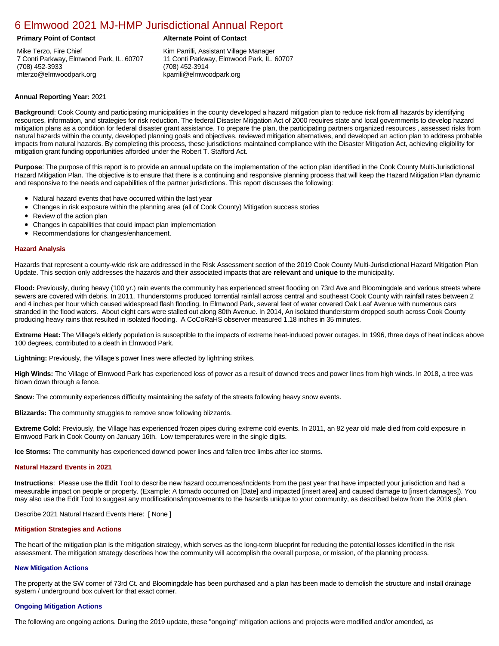# [6 Elmwood 2021 MJ-HMP Jurisdictional Annual Report](https://elmwood.isc-cemp.com/Cemp/Details?id=8322736)

Mike Terzo, Fire Chief 7 Conti Parkway, Elmwood Park, IL. 60707 (708) 452-3933 mterzo@elmwoodpark.org

### **Primary Point of Contact Alternate Point of Contact**

Kim Parrilli, Assistant Village Manager 11 Conti Parkway, Elmwood Park, IL. 60707 (708) 452-3914 kparrili@elmwoodpark.org

## **Annual Reporting Year:** 2021

**Background**: Cook County and participating municipalities in the county developed a hazard mitigation plan to reduce risk from all hazards by identifying resources, information, and strategies for risk reduction. The federal Disaster Mitigation Act of 2000 requires state and local governments to develop hazard mitigation plans as a condition for federal disaster grant assistance. To prepare the plan, the participating partners organized resources , assessed risks from natural hazards within the county, developed planning goals and objectives, reviewed mitigation alternatives, and developed an action plan to address probable impacts from natural hazards. By completing this process, these jurisdictions maintained compliance with the Disaster Mitigation Act, achieving eligibility for mitigation grant funding opportunities afforded under the Robert T. Stafford Act.

**Purpose**: The purpose of this report is to provide an annual update on the implementation of the action plan identified in the Cook County Multi-Jurisdictional Hazard Mitigation Plan. The objective is to ensure that there is a continuing and responsive planning process that will keep the Hazard Mitigation Plan dynamic and responsive to the needs and capabilities of the partner jurisdictions. This report discusses the following:

- Natural hazard events that have occurred within the last year
- Changes in risk exposure within the planning area (all of Cook County) Mitigation success stories
- Review of the action plan
- Changes in capabilities that could impact plan implementation
- Recommendations for changes/enhancement.

### **Hazard Analysis**

Hazards that represent a county-wide risk are addressed in the Risk Assessment section of the 2019 Cook County Multi-Jurisdictional Hazard Mitigation Plan Update. This section only addresses the hazards and their associated impacts that are **relevant** and **unique** to the municipality.

**Flood:** Previously, during heavy (100 yr.) rain events the community has experienced street flooding on 73rd Ave and Bloomingdale and various streets where sewers are covered with debris. In 2011, Thunderstorms produced torrential rainfall across central and southeast Cook County with rainfall rates between 2 and 4 inches per hour which caused widespread flash flooding. In Elmwood Park, several feet of water covered Oak Leaf Avenue with numerous cars stranded in the flood waters. About eight cars were stalled out along 80th Avenue. In 2014, An isolated thunderstorm dropped south across Cook County producing heavy rains that resulted in isolated flooding. A CoCoRaHS observer measured 1.18 inches in 35 minutes.

**Extreme Heat:** The Village's elderly population is susceptible to the impacts of extreme heat-induced power outages. In 1996, three days of heat indices above 100 degrees, contributed to a death in Elmwood Park.

**Lightning:** Previously, the Village's power lines were affected by lightning strikes.

**High Winds:** The Village of Elmwood Park has experienced loss of power as a result of downed trees and power lines from high winds. In 2018, a tree was blown down through a fence.

**Snow:** The community experiences difficulty maintaining the safety of the streets following heavy snow events.

**Blizzards:** The community struggles to remove snow following blizzards.

**Extreme Cold:** Previously, the Village has experienced frozen pipes during extreme cold events. In 2011, an 82 year old male died from cold exposure in Elmwood Park in Cook County on January 16th. Low temperatures were in the single digits.

**Ice Storms:** The community has experienced downed power lines and fallen tree limbs after ice storms.

### **Natural Hazard Events in 2021**

**Instructions**: Please use the **Edit** Tool to describe new hazard occurrences/incidents from the past year that have impacted your jurisdiction and had a measurable impact on people or property. (Example: A tornado occurred on [Date] and impacted [insert area] and caused damage to [insert damages]). You may also use the Edit Tool to suggest any modifications/improvements to the hazards unique to your community, as described below from the 2019 plan.

Describe 2021 Natural Hazard Events Here: [ None ]

### **Mitigation Strategies and Actions**

The heart of the mitigation plan is the mitigation strategy, which serves as the long-term blueprint for reducing the potential losses identified in the risk assessment. The mitigation strategy describes how the community will accomplish the overall purpose, or mission, of the planning process.

### **New Mitigation Actions**

The property at the SW corner of 73rd Ct. and Bloomingdale has been purchased and a plan has been made to demolish the structure and install drainage system / underground box culvert for that exact corner.

### **Ongoing Mitigation Actions**

The following are ongoing actions. During the 2019 update, these "ongoing" mitigation actions and projects were modified and/or amended, as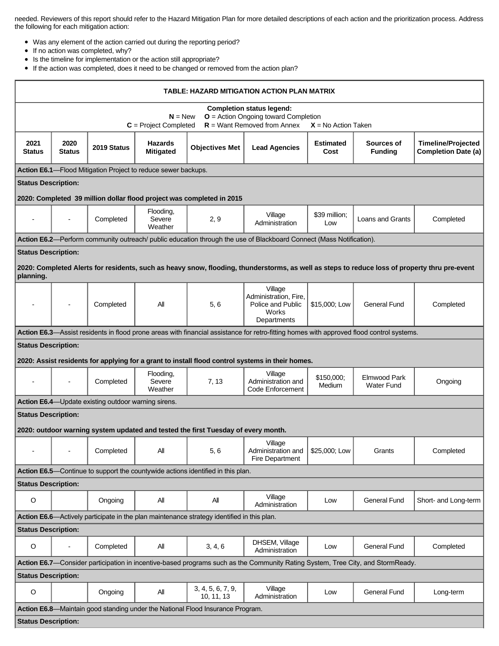needed. Reviewers of this report should refer to the Hazard Mitigation Plan for more detailed descriptions of each action and the prioritization process. Address the following for each mitigation action:

- Was any element of the action carried out during the reporting period?
- If no action was completed, why?
- Is the timeline for implementation or the action still appropriate?
- If the action was completed, does it need to be changed or removed from the action plan?

| TABLE: HAZARD MITIGATION ACTION PLAN MATRIX                                                                                                                                              |                          |                                                     |                                                               |                                                                                 |                                                                                                                                          |                          |                                   |                                                         |  |  |  |
|------------------------------------------------------------------------------------------------------------------------------------------------------------------------------------------|--------------------------|-----------------------------------------------------|---------------------------------------------------------------|---------------------------------------------------------------------------------|------------------------------------------------------------------------------------------------------------------------------------------|--------------------------|-----------------------------------|---------------------------------------------------------|--|--|--|
| <b>Completion status legend:</b><br>$O =$ Action Ongoing toward Completion<br>$N = New$<br>$R =$ Want Removed from Annex<br>$C = Project Completed$<br>$X = No$ Action Taken             |                          |                                                     |                                                               |                                                                                 |                                                                                                                                          |                          |                                   |                                                         |  |  |  |
| 2021<br><b>Status</b>                                                                                                                                                                    | 2020<br><b>Status</b>    | 2019 Status                                         | <b>Hazards</b><br><b>Mitigated</b>                            | <b>Objectives Met</b>                                                           | <b>Lead Agencies</b>                                                                                                                     | <b>Estimated</b><br>Cost | Sources of<br><b>Funding</b>      | <b>Timeline/Projected</b><br><b>Completion Date (a)</b> |  |  |  |
|                                                                                                                                                                                          |                          |                                                     | Action E6.1-Flood Mitigation Project to reduce sewer backups. |                                                                                 |                                                                                                                                          |                          |                                   |                                                         |  |  |  |
| <b>Status Description:</b>                                                                                                                                                               |                          |                                                     |                                                               |                                                                                 |                                                                                                                                          |                          |                                   |                                                         |  |  |  |
| 2020: Completed 39 million dollar flood project was completed in 2015                                                                                                                    |                          |                                                     |                                                               |                                                                                 |                                                                                                                                          |                          |                                   |                                                         |  |  |  |
|                                                                                                                                                                                          |                          | Completed                                           | Flooding,<br>Severe<br>Weather                                | 2, 9                                                                            | Village<br>Administration                                                                                                                | \$39 million;<br>Low     | Loans and Grants                  | Completed                                               |  |  |  |
| Action E6.2—Perform community outreach/ public education through the use of Blackboard Connect (Mass Notification).                                                                      |                          |                                                     |                                                               |                                                                                 |                                                                                                                                          |                          |                                   |                                                         |  |  |  |
| <b>Status Description:</b><br>2020: Completed Alerts for residents, such as heavy snow, flooding, thunderstorms, as well as steps to reduce loss of property thru pre-event<br>planning. |                          |                                                     |                                                               |                                                                                 |                                                                                                                                          |                          |                                   |                                                         |  |  |  |
|                                                                                                                                                                                          | $\overline{a}$           | Completed                                           | All                                                           | 5, 6                                                                            | Village<br>Administration, Fire,<br>Police and Public<br>Works<br>Departments                                                            | \$15,000; Low            | <b>General Fund</b>               | Completed                                               |  |  |  |
|                                                                                                                                                                                          |                          |                                                     |                                                               |                                                                                 | Action E6.3—Assist residents in flood prone areas with financial assistance for retro-fitting homes with approved flood control systems. |                          |                                   |                                                         |  |  |  |
| <b>Status Description:</b>                                                                                                                                                               |                          |                                                     |                                                               |                                                                                 |                                                                                                                                          |                          |                                   |                                                         |  |  |  |
|                                                                                                                                                                                          |                          |                                                     |                                                               |                                                                                 | 2020: Assist residents for applying for a grant to install flood control systems in their homes.                                         |                          |                                   |                                                         |  |  |  |
| $\overline{\phantom{a}}$                                                                                                                                                                 |                          | Completed                                           | Flooding,<br>Severe<br>Weather                                | 7, 13                                                                           | Village<br>Administration and<br>Code Enforcement                                                                                        | \$150,000;<br>Medium     | Elmwood Park<br><b>Water Fund</b> | Ongoing                                                 |  |  |  |
|                                                                                                                                                                                          |                          | Action E6.4-Update existing outdoor warning sirens. |                                                               |                                                                                 |                                                                                                                                          |                          |                                   |                                                         |  |  |  |
| <b>Status Description:</b><br>2020: outdoor warning system updated and tested the first Tuesday of every month.                                                                          |                          |                                                     |                                                               |                                                                                 |                                                                                                                                          |                          |                                   |                                                         |  |  |  |
| $\overline{\phantom{a}}$                                                                                                                                                                 | $\overline{\phantom{a}}$ | Completed                                           | All                                                           | 5, 6                                                                            | Village<br>Administration and<br>Fire Department                                                                                         | \$25,000; Low            | Grants                            | Completed                                               |  |  |  |
|                                                                                                                                                                                          |                          |                                                     |                                                               | Action E6.5—Continue to support the countywide actions identified in this plan. |                                                                                                                                          |                          |                                   |                                                         |  |  |  |
| <b>Status Description:</b>                                                                                                                                                               |                          |                                                     |                                                               |                                                                                 |                                                                                                                                          |                          |                                   |                                                         |  |  |  |
| $\circ$                                                                                                                                                                                  |                          | Ongoing                                             | All                                                           | All                                                                             | Village<br>Administration                                                                                                                | Low                      | <b>General Fund</b>               | Short- and Long-term                                    |  |  |  |
| Action E6.6—Actively participate in the plan maintenance strategy identified in this plan.                                                                                               |                          |                                                     |                                                               |                                                                                 |                                                                                                                                          |                          |                                   |                                                         |  |  |  |
| <b>Status Description:</b>                                                                                                                                                               |                          |                                                     |                                                               |                                                                                 |                                                                                                                                          |                          |                                   |                                                         |  |  |  |
| $\mathsf O$                                                                                                                                                                              | $\overline{\phantom{0}}$ | Completed                                           | All                                                           | 3, 4, 6                                                                         | DHSEM, Village<br>Administration                                                                                                         | Low                      | <b>General Fund</b>               | Completed                                               |  |  |  |
| Action E6.7—Consider participation in incentive-based programs such as the Community Rating System, Tree City, and StormReady.                                                           |                          |                                                     |                                                               |                                                                                 |                                                                                                                                          |                          |                                   |                                                         |  |  |  |
| <b>Status Description:</b>                                                                                                                                                               |                          |                                                     |                                                               | 3, 4, 5, 6, 7, 9,                                                               | Village                                                                                                                                  |                          |                                   |                                                         |  |  |  |
| O                                                                                                                                                                                        |                          | Ongoing                                             | All                                                           | 10, 11, 13                                                                      | Administration                                                                                                                           | Low                      | <b>General Fund</b>               | Long-term                                               |  |  |  |
| Action E6.8—Maintain good standing under the National Flood Insurance Program.<br><b>Status Description:</b>                                                                             |                          |                                                     |                                                               |                                                                                 |                                                                                                                                          |                          |                                   |                                                         |  |  |  |
|                                                                                                                                                                                          |                          |                                                     |                                                               |                                                                                 |                                                                                                                                          |                          |                                   |                                                         |  |  |  |